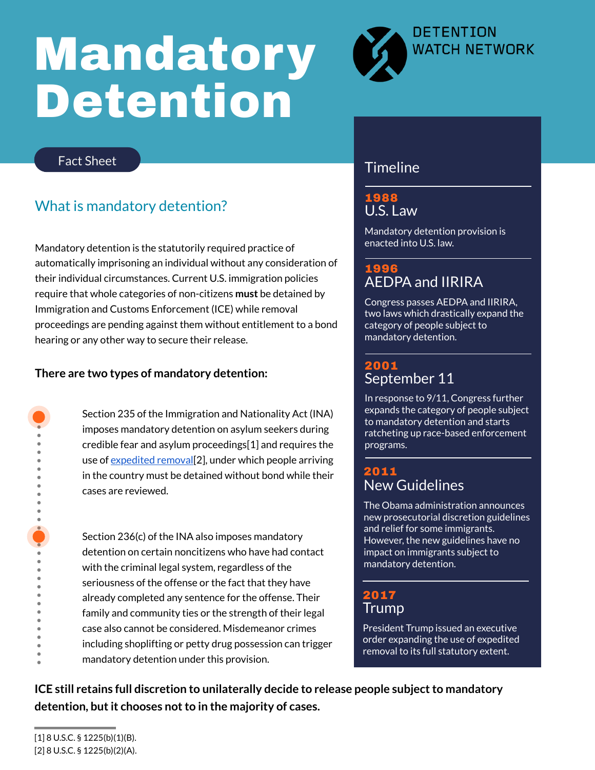#### Fact Sheet

# Mandatory Detention



U.S. Law 1988

Mandatory detention provision is enacted into U.S. law.

#### AEDPA and IIRIRA 1996

#### September 11 2001

Congress passes AEDPA and IIRIRA, two laws which drastically expand the category of people subject to mandatory detention.

In response to 9/11, Congress further expands the category of people subject to mandatory detention and starts ratcheting up race-based enforcement programs.

## What is mandatory detention?

Mandatory detention is the statutorily required practice of automatically imprisoning an individual without any consideration of their individual circumstances. Current U.S. immigration policies require that whole categories of non-citizens **must** be detained by Immigration and Customs Enforcement (ICE) while removal proceedings are pending against them without entitlement to a bond hearing or any other way to secure their release.

### **Timeline**

Section 235 of the Immigration and Nationality Act (INA) imposes mandatory detention on asylum seekers during credible fear and asylum proceedings[1] and requires the use of <u>[expedited](https://www.americanimmigrationcouncil.org/research/primer-expedited-removal) removal</u> [2], under which people arriving in the country must be detained without bond while their cases are reviewed.

Section 236(c) of the INA also imposes mandatory detention on certain noncitizens who have had contact with the criminal legal system, regardless of the

seriousness of the offense or the fact that they have already completed any sentence for the offense. Their family and community ties or the strength of their legal case also cannot be considered. Misdemeanor crimes including shoplifting or petty drug possession can trigger mandatory detention under this provision.

### New Guidelines 2011

The Obama administration announces new prosecutorial discretion guidelines and relief for some immigrants. However, the new guidelines have no impact on immigrants subject to mandatory detention.

#### Trump 2017

President Trump issued an executive order expanding the use of expedited removal to its full statutory extent.

#### **There are two types of mandatory detention:**



**ICE still retains full discretion to unilaterally decide to release people subjectto mandatory detention, butit chooses notto in the majority of cases.**

[1] 8 U.S.C. § 1225(b)(1)(B). [2] 8 U.S.C. § 1225(b)(2)(A).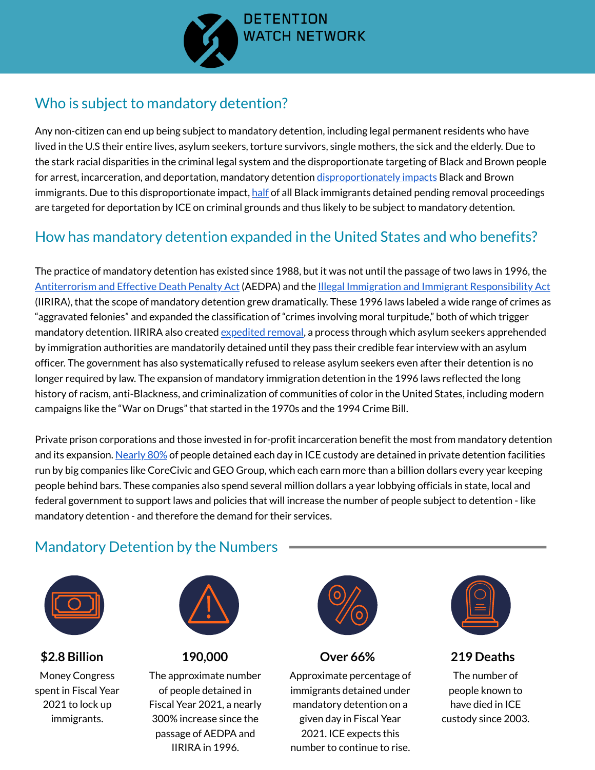

## Who is subject to mandatory detention?

nate targeting of Black and<br><mark>ionately impacts</mark> Black and Any non-citizen can end up being subject to mandatory detention, including legal permanent residents who have lived in the U.S their entire lives, asylum seekers, torture survivors, single mothers, the sick and the elderly. Due to the stark racial disparities in the criminal legal system and the disproportionate targeting of Black and Brown people for arrest, incarceration, and deportation, mandatory detention <u>disproportionately impacts</u> Black and Brown immigrants. Due to this disproportionate impact, [half](https://oir.sccgov.org/sites/g/files/exjcpb1026/files/sobi-deprt-blk-immig-crim-sys.pdf) of all Black immigrants detained pending removal proceedings are targeted for deportation by ICE on criminal grounds and thus likely to be subject to mandatory detention.

## How has mandatory detention expanded in the United States and who benefits?

The practice of mandatory detention has existed since 1988, but it was not until the passage of two laws in 1996, the [Antiterrorism](https://www.govinfo.gov/content/pkg/PLAW-104publ132/html/PLAW-104publ132.htm) and Effective Death Penalty Act (AEDPA) and the Illegal Immigration and Immigrant [Responsibility](https://www.govinfo.gov/content/pkg/STATUTE-110/pdf/STATUTE-110-Pg3009.pdf) Act

(IIRIRA), that the scope of mandatory detention grew dramatically. These 1996 laws labeled a wide range of crimes as "aggravated felonies" and expanded the classification of "crimes involving moral turpitude, " both of which trigger mandatory detention. IIRIRA also created *[expedited](https://www.americanimmigrationcouncil.org/research/primer-expedited-removal) removal*, a process through which asylum seekers apprehended by immigration authorities are mandatorily detained until they pass their credible fear interview with an asylum officer. The government has also systematically refused to release asylum seekers even after their detention is no longer required by law. The expansion of mandatory immigration detention in the 1996 laws reflected the long history of racism, anti-Blackness, and criminalization of communities of color in the United States, including modern campaigns like the "War on Drugs" that started in the 1970s and the 1994 Crime Bill.

Private prison corporations and those invested in for-profit incarceration benefit the most from mandatory detention and its expansion. [Nearly](https://www.aclu.org/news/immigrants-rights/more-of-the-same-private-prison-corporations-and-immigration-detention-under-the-biden-administration) 80% of people detained each day in ICE custody are detained in private detention facilities run by big companies like CoreCivic and GEO Group, which each earn more than a billion dollars every year keeping people behind bars. These companies also spend several million dollars a year lobbying officials in state, local and federal government to support laws and policies that will increase the number of people subject to detention - like mandatory detention - and therefore the demand for their services.

## **\$2.8 Billion**

Money Congress spent in Fiscal Year 2021 to lock up immigrants.

## **190,000**

The approximate number of people detained in Fiscal Year 2021, a nearly 300% increase since the passage of AEDPA and IIRIRA in 1996.

#### **Over 66%**

Approximate percentage of immigrants detained under mandatory detention on a given day in Fiscal Year 2021. ICE expects this number to continue to rise.

#### **219 Deaths**

The number of people known to have died in ICE custody since 2003.

## Mandatory Detention by the Numbers







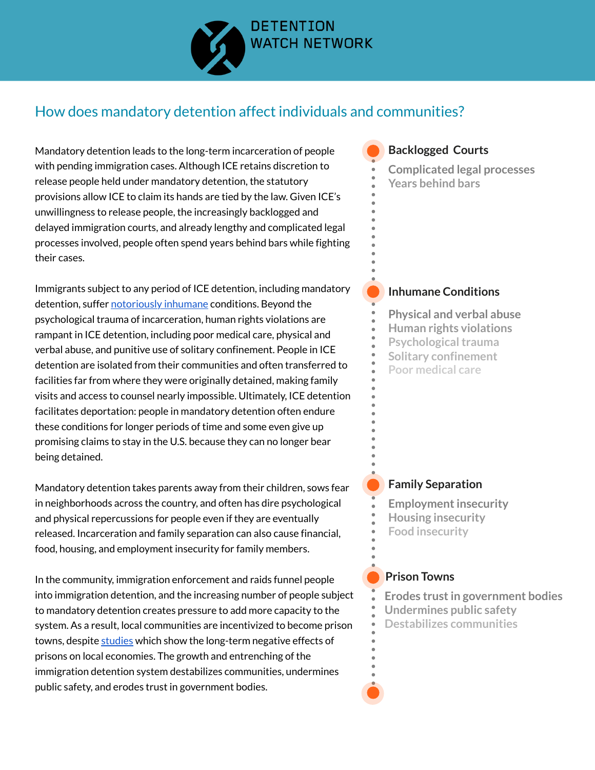

## How does mandatory detention affect individuals and communities?

Mandatory detention leads to the long-term incarceration of people with pending immigration cases. Although ICE retains discretion to release people held under mandatory detention, the statutory provisions allow ICE to claim its hands are tied by the law. Given ICE's unwillingness to release people, the increasingly backlogged and delayed immigration courts, and already lengthy and complicated legal processes involved, people often spend years behind bars while fighting their cases.

Immigrants subject to any period of ICE detention, including mandatory detention, suffer [notoriously](https://www.detentionwatchnetwork.org/sites/default/files/reports/DWN%20First%20Ten%20to%20Communities%20Not%20Cages.pdf) inhumane conditions. Beyond the psychological trauma of incarceration, human rights violations are rampant in ICE detention, including poor medical care, physical and verbal abuse, and punitive use of solitary confinement. People in ICE detention are isolated from their communities and often transferred to facilities far from where they were originally detained, making family visits and access to counsel nearly impossible. Ultimately, ICE detention facilitates deportation: people in mandatory detention often endure these conditions for longer periods of time and some even give up promising claims to stay in the U.S. because they can no longer bear being detained.

- **Employment insecurity**
- **Housing insecurity**
- **Food insecurity**

Mandatory detention takes parents away from their children, sows fear in neighborhoods across the country, and often has dire psychological and physical repercussions for people even if they are eventually released. Incarceration and family separation can also cause financial, food, housing, and employment insecurity for family members.

In the community, immigration enforcement and raids funnel people

into immigration detention, and the increasing number of people subject to mandatory detention creates pressure to add more capacity to the system. As a result, local communities are incentivized to become prison towns, despite [studies](https://www.detentionwatchnetwork.org/sites/default/files/reports/Communities%20Not%20Cages-A%20Just%20Transition%20from%20Immigration%20Detention%20Economies_DWN%202021.pdf) which show the long-term negative effects of prisons on local economies. The growth and entrenching of the immigration detention system destabilizes communities, undermines public safety, and erodes trust in government bodies.



#### **Inhumane Conditions**

#### **Family Separation**



- **Physical and verbal abuse**
- **Human rights violations**
- **Psychological trauma**
- **Solitary confinement**
- **Poor medical care**

**Erodes trustin government bodies Destabilizes communities Undermines public safety**

**Complicated legal processes Years behind bars**